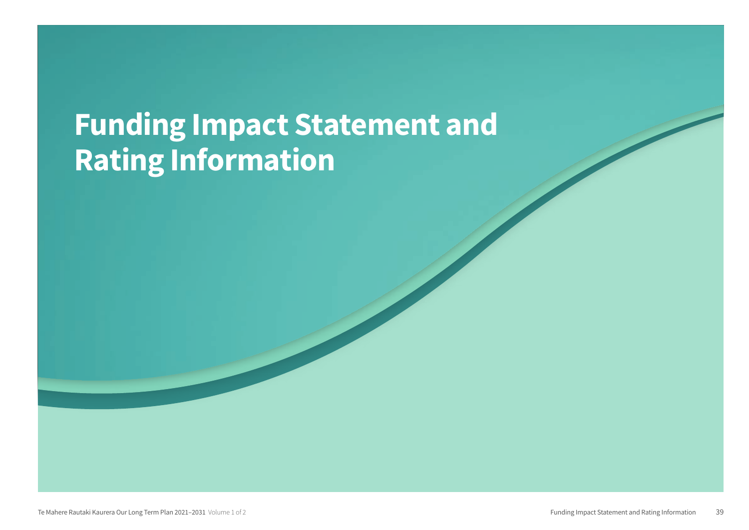# Funding Impact Statement and Rating Information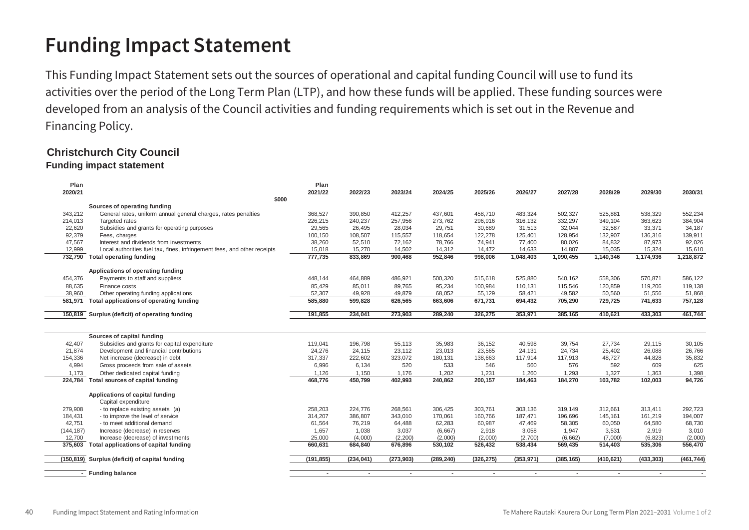## **Funding Impact Statement Funding Impact Statement**

This Funding Impact Statement sets out the sources of operational and capital funding Council will use to fund its activities over the period of the Long Term Plan (LTP), and how these funds will be applied. These funding sources were developed from an analysis of the Council activities and funding requirements which is set out in the Revenue and Financing Policy. Financing Policy.

### **Christchurch City Council Christchurch City Council**

### **Funding impact statement Funding impact statement**

| Plan       |                                                                          | Plan       |            |            |                          |            |            |                          |            |            |            |
|------------|--------------------------------------------------------------------------|------------|------------|------------|--------------------------|------------|------------|--------------------------|------------|------------|------------|
| 2020/21    |                                                                          | 2021/22    | 2022/23    | 2023/24    | 2024/25                  | 2025/26    | 2026/27    | 2027/28                  | 2028/29    | 2029/30    | 2030/31    |
|            | \$000                                                                    |            |            |            |                          |            |            |                          |            |            |            |
|            | Sources of operating funding                                             |            |            |            |                          |            |            |                          |            |            |            |
| 343,212    | General rates, uniform annual general charges, rates penalties           | 368,527    | 390,850    | 412,257    | 437,601                  | 458,710    | 483,324    | 502,327                  | 525,881    | 538,329    | 552,234    |
| 214,013    | Targeted rates                                                           | 226,215    | 240,237    | 257,956    | 273,762                  | 296,916    | 316,132    | 332,297                  | 349,104    | 363,623    | 384,904    |
| 22,620     | Subsidies and grants for operating purposes                              | 29,565     | 26.495     | 28.034     | 29,751                   | 30.689     | 31.513     | 32,044                   | 32.587     | 33.371     | 34,187     |
| 92,379     | Fees, charges                                                            | 100,150    | 108,507    | 115,557    | 118,654                  | 122,278    | 125,401    | 128,954                  | 132,907    | 136,316    | 139,911    |
| 47,567     | Interest and dividends from investments                                  | 38,260     | 52,510     | 72,162     | 78,766                   | 74,941     | 77,400     | 80,026                   | 84,832     | 87,973     | 92,026     |
| 12,999     | Local authorities fuel tax, fines, infringement fees, and other receipts | 15,018     | 15,270     | 14,502     | 14,312                   | 14,472     | 14,633     | 14,807                   | 15,035     | 15,324     | 15,610     |
| 732,790    | <b>Total operating funding</b>                                           | 777,735    | 833,869    | 900,468    | 952,846                  | 998,006    | 1,048,403  | 1,090,455                | 1,140,346  | 1,174,936  | 1,218,872  |
|            | Applications of operating funding                                        |            |            |            |                          |            |            |                          |            |            |            |
| 454,376    | Payments to staff and suppliers                                          | 448,144    | 464,889    | 486,921    | 500,320                  | 515,618    | 525,880    | 540,162                  | 558,306    | 570,871    | 586,122    |
| 88,635     | Finance costs                                                            | 85,429     | 85,011     | 89,765     | 95,234                   | 100,984    | 110,131    | 115,546                  | 120,859    | 119,206    | 119,138    |
| 38,960     | Other operating funding applications                                     | 52,307     | 49,928     | 49,879     | 68,052                   | 55,129     | 58,421     | 49,582                   | 50,560     | 51,556     | 51,868     |
| 581,971    | Total applications of operating funding                                  | 585,880    | 599,828    | 626,565    | 663,606                  | 671,731    | 694,432    | 705,290                  | 729,725    | 741,633    | 757,128    |
| 150,819    | Surplus (deficit) of operating funding                                   | 191,855    | 234,041    | 273,903    | 289,240                  | 326,275    | 353,971    | 385,165                  | 410,621    | 433,303    | 461,744    |
|            |                                                                          |            |            |            |                          |            |            |                          |            |            |            |
|            | Sources of capital funding                                               |            |            |            |                          |            |            |                          |            |            |            |
| 42,407     | Subsidies and grants for capital expenditure                             | 119,041    | 196,798    | 55,113     | 35,983                   | 36,152     | 40,598     | 39,754                   | 27,734     | 29,115     | 30,105     |
| 21,874     | Development and financial contributions                                  | 24,276     | 24.115     | 23,112     | 23,013                   | 23,565     | 24,131     | 24,734                   | 25,402     | 26,088     | 26,766     |
| 154,336    | Net increase (decrease) in debt                                          | 317,337    | 222,602    | 323,072    | 180,131                  | 138,663    | 117,914    | 117,913                  | 48,727     | 44,828     | 35,832     |
| 4,994      | Gross proceeds from sale of assets                                       | 6,996      | 6,134      | 520        | 533                      | 546        | 560        | 576                      | 592        | 609        | 625        |
| 1,173      | Other dedicated capital funding                                          | 1,126      | 1,150      | 1,176      | 1,202                    | 1,231      | 1,260      | 1,293                    | 1,327      | 1,363      | 1,398      |
| 224,784    | Total sources of capital funding                                         | 468,776    | 450,799    | 402,993    | 240,862                  | 200,157    | 184,463    | 184,270                  | 103,782    | 102,003    | 94,726     |
|            | Applications of capital funding                                          |            |            |            |                          |            |            |                          |            |            |            |
|            | Capital expenditure                                                      |            |            |            |                          |            |            |                          |            |            |            |
| 279,908    | - to replace existing assets (a)                                         | 258,203    | 224,776    | 268,561    | 306,425                  | 303,761    | 303,136    | 319,149                  | 312.661    | 313,411    | 292,723    |
| 184,431    | - to improve the level of service                                        | 314,207    | 386,807    | 343,010    | 170,061                  | 160,766    | 187,471    | 196,696                  | 145,161    | 161,219    | 194,007    |
| 42,751     | - to meet additional demand                                              | 61,564     | 76,219     | 64,488     | 62,283                   | 60,987     | 47,469     | 58,305                   | 60,050     | 64,580     | 68,730     |
| (144, 187) | Increase (decrease) in reserves                                          | 1,657      | 1,038      | 3,037      | (6,667)                  | 2,918      | 3,058      | 1,947                    | 3,531      | 2.919      | 3,010      |
| 12,700     | Increase (decrease) of investments                                       | 25,000     | (4,000)    | (2, 200)   | (2,000)                  | (2,000)    | (2,700)    | (6,662)                  | (7,000)    | (6, 823)   | (2,000)    |
| 375,603    | Total applications of capital funding                                    | 660,631    | 684,840    | 676,896    | 530,102                  | 526,432    | 538,434    | 569,435                  | 514,403    | 535,306    | 556,470    |
|            | (150,819) Surplus (deficit) of capital funding                           | (191, 855) | (234, 041) | (273, 903) | (289, 240)               | (326, 275) | (353, 971) | (385, 165)               | (410, 621) | (433, 303) | (461, 744) |
|            | <b>Funding balance</b>                                                   |            |            |            | $\overline{\phantom{a}}$ |            |            | $\overline{\phantom{a}}$ |            |            |            |
|            |                                                                          |            |            |            |                          |            |            |                          |            |            |            |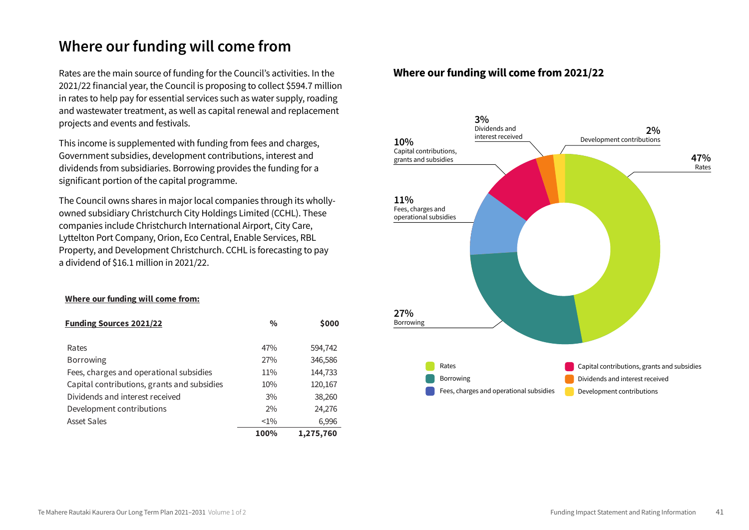### **Where our funding will come from**

Rates are the main source of funding for the Council's activities. In the 2021/22 financial year, the Council is proposing to collect \$594.7 million in rates to help pay for essential services such as water supply, roading and wastewater treatment, as well as capital renewal and replacement projects and events and festivals. **Where the community will come for the funding will compute** the computation of the computation of the computation<br>Projects and events and restricts.

This income is supplemented with funding from fees and charges, Government subsidies, development contributions, interest and dividends from subsidiaries. Borrowing provides the funding for a significant portion of the capital programme.

The Council owns shares in major local companies through its wholly-  $11\%$ owned subsidiary Christchurch City Holdings Limited (CCHL). These Fees, charges and Fees, charges and companies include Christchurch International Airport, City Care, Lyttelton Port Company, Orion, Eco Central, Enable Services, RBL Property, and Development Christchurch. CCHL is forecasting to pay a dividend of \$16.1 million in 2021/22.

#### **Where our funding will come from:**

| <b>Funding Sources 2021/22</b>              | $\frac{0}{0}$ | \$000     |
|---------------------------------------------|---------------|-----------|
|                                             |               |           |
| Rates                                       | 47%           | 594,742   |
| <b>Borrowing</b>                            | 27%           | 346,586   |
| Fees, charges and operational subsidies     | 11%           | 144,733   |
| Capital contributions, grants and subsidies | 10%           | 120,167   |
| Dividends and interest received             | 3%            | 38,260    |
| Development contributions                   | 2%            | 24,276    |
| <b>Asset Sales</b>                          | $< 1\%$       | 6,996     |
|                                             | 100%          | 1,275,760 |

#### **Where our funding will come from 2021/22**

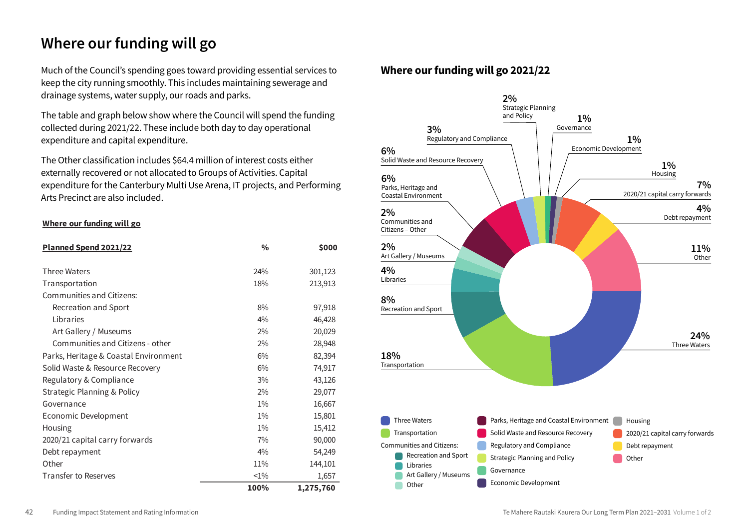### **Where our funding will go**

Much of the Council's spending goes toward providing essential services to keep the city running smoothly. This includes maintaining sewerage and drainage systems, water supply, our roads and parks. **Where our funding will go** 

The table and graph below show where the Council will spend the funding collected during 2021/22. These include both day to day operational and solutions of the council spending  $3\%$ expenditure and capital expenditure. Council will spend the funding collected

The Other classification includes \$64.4 million of interest costs either  $\frac{3}{20}$  externally recovered or not allocated to Groups of Activities. Capital  $\frac{3}{20}$ expenditure for the Canterbury Multi Use Arena, IT projects, and Performing Arts Precinct are also included.  $\tau$ running smoothly. This includes matrix  $6\%$ 

#### **Where our funding will go**

| Planned Spend 2021/22                 | $\frac{0}{0}$ | \$000     |
|---------------------------------------|---------------|-----------|
| <b>Three Waters</b>                   | 24%           | 301,123   |
|                                       |               |           |
| Transportation                        | 18%           | 213,913   |
| Communities and Citizens:             |               |           |
| Recreation and Sport                  | 8%            | 97,918    |
| Libraries                             | 4%            | 46,428    |
| Art Gallery / Museums                 | 2%            | 20,029    |
| Communities and Citizens - other      | 2%            | 28,948    |
| Parks, Heritage & Coastal Environment | 6%            | 82,394    |
| Solid Waste & Resource Recovery       | 6%            | 74,917    |
| Regulatory & Compliance               | 3%            | 43,126    |
| Strategic Planning & Policy           | 2%            | 29,077    |
| Governance                            | $1\%$         | 16,667    |
| Economic Development                  | $1\%$         | 15,801    |
| Housing                               | $1\%$         | 15,412    |
| 2020/21 capital carry forwards        | 7%            | 90,000    |
| Debt repayment                        | 4%            | 54,249    |
| Other                                 | 11%           | 144,101   |
| Transfer to Reserves                  | $<1\%$        | 1,657     |
|                                       | 100%          | 1,275,760 |

#### **Where our funding will go 2021/22**

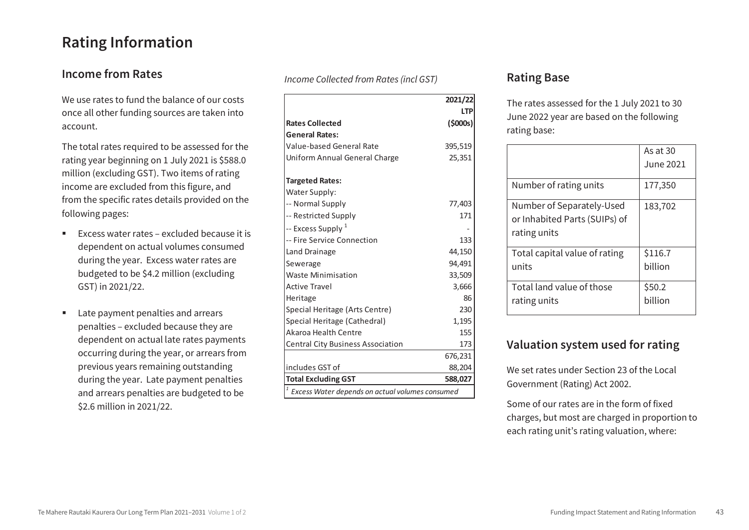### **Rating Information**

### **Income from Rates**

We use rates to fund the balance of our costs once all other funding sources are taken into account.

The total rates required to be assessed for the rating year beginning on 1 July 2021 is \$588.0 million (excluding GST). Two items of rating income are excluded from this figure, and from the specific rates details provided on the following pages:

- Excess water rates excluded because it is dependent on actual volumes consumed during the year. Excess water rates are budgeted to be \$4.2 million (excluding GST) in 2021/22.
- **Late payment penalties and arrears** penalties – excluded because they are dependent on actual late rates payments occurring during the year, or arrears from previous years remaining outstanding during the year. Late payment penalties and arrears penalties are budgeted to be \$2.6 million in 2021/22.

*Income Collected from Rates (incl GST)* **Rating Base** 

|                                                      | 2021/22  |
|------------------------------------------------------|----------|
|                                                      | I TP     |
| <b>Rates Collected</b>                               | (\$000s) |
| <b>General Rates:</b>                                |          |
| <b>Value-based General Rate</b>                      | 395,519  |
| Uniform Annual General Charge                        | 25,351   |
| <b>Targeted Rates:</b>                               |          |
| Water Supply:                                        |          |
| -- Normal Supply                                     | 77,403   |
| -- Restricted Supply                                 | 171      |
| -- Excess Supply <sup>1</sup>                        |          |
| -- Fire Service Connection                           | 133      |
| Land Drainage                                        | 44,150   |
| Sewerage                                             | 94,491   |
| <b>Waste Minimisation</b>                            | 33,509   |
| <b>Active Travel</b>                                 | 3,666    |
| Heritage                                             | 86       |
| Special Heritage (Arts Centre)                       | 230      |
| Special Heritage (Cathedral)                         | 1,195    |
| Akaroa Health Centre                                 | 155      |
| <b>Central City Business Association</b>             | 173      |
|                                                      | 676,231  |
| includes GST of                                      | 88,204   |
| <b>Total Excluding GST</b>                           | 588,027  |
| 1<br>Excess Water depends on actual volumes consumed |          |

The rates assessed for the 1 July 2021 to 30 June 2022 year are based on the following rating base:

|                                                                            | As at 30<br><b>June 2021</b> |
|----------------------------------------------------------------------------|------------------------------|
| Number of rating units                                                     | 177,350                      |
| Number of Separately-Used<br>or Inhabited Parts (SUIPs) of<br>rating units | 183,702                      |
| Total capital value of rating<br>units                                     | \$116.7<br>billion           |
| Total land value of those<br>rating units                                  | \$50.2<br>billion            |

### **Valuation system used for rating**

We set rates under Section 23 of the Local Government (Rating) Act 2002.

Some of our rates are in the form of fixed charges, but most are charged in proportion to each rating unit's rating valuation, where: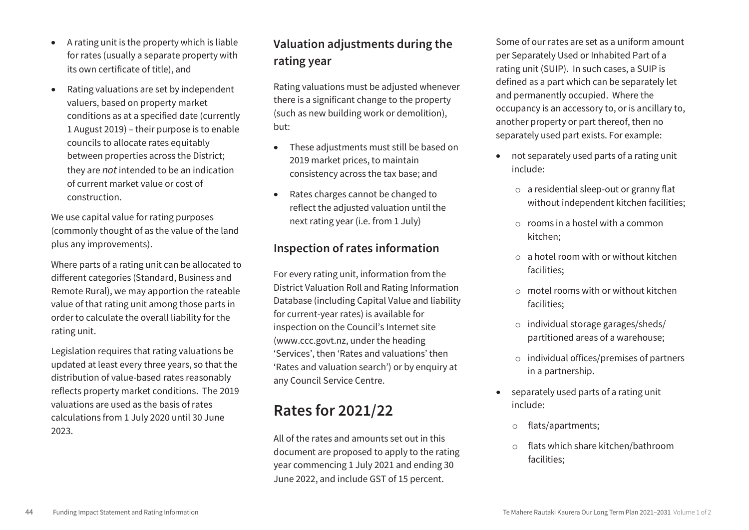- A rating unit is the property which is liable for rates (usually a separate property with its own certificate of title), and
- Rating valuations are set by independent valuers, based on property market conditions as at a specified date (currently 1 August 2019) – their purpose is to enable councils to allocate rates equitably between properties across the District; they are *not* intended to be an indication of current market value or cost of construction.

We use capital value for rating purposes (commonly thought of as the value of the land plus any improvements).

Where parts of a rating unit can be allocated to different categories (Standard, Business and Remote Rural), we may apportion the rateable value of that rating unit among those parts in order to calculate the overall liability for the rating unit.

Legislation requires that rating valuations be updated at least every three years, so that the distribution of value-based rates reasonably reflects property market conditions. The 2019 valuations are used as the basis of rates calculations from 1 July 2020 until 30 June 2023.

### **Valuation adjustments during the rating year**

Rating valuations must be adjusted whenever there is a significant change to the property (such as new building work or demolition), but:

- These adjustments must still be based on 2019 market prices, to maintain consistency across the tax base; and
- Rates charges cannot be changed to reflect the adjusted valuation until the next rating year (i.e. from 1 July)

### **Inspection of rates information**

For every rating unit, information from the District Valuation Roll and Rating Information Database (including Capital Value and liability for current-year rates) is available for inspection on the Council's Internet site (www.ccc.govt.nz, under the heading 'Services', then 'Rates and valuations' then 'Rates and valuation search') or by enquiry at any Council Service Centre.

## **Rates for 2021/22**

All of the rates and amounts set out in this document are proposed to apply to the rating year commencing 1 July 2021 and ending 30 June 2022, and include GST of 15 percent.

Some of our rates are set as a uniform amount per Separately Used or Inhabited Part of a rating unit (SUIP). In such cases, a SUIP is defined as a part which can be separately let and permanently occupied. Where the occupancy is an accessory to, or is ancillary to, another property or part thereof, then no separately used part exists. For example:

- not separately used parts of a rating unit include:
	- o a residential sleep-out or granny flat without independent kitchen facilities;
	- $\circ$  rooms in a hostel with a common kitchen;
	- $\circ$  a hotel room with or without kitchen facilities;
	- $\circ$  motel rooms with or without kitchen facilities;
	- o individual storage garages/sheds/ partitioned areas of a warehouse;
	- o individual offices/premises of partners in a partnership.
- separately used parts of a rating unit include:
	- o flats/apartments;
	- o flats which share kitchen/bathroom facilities;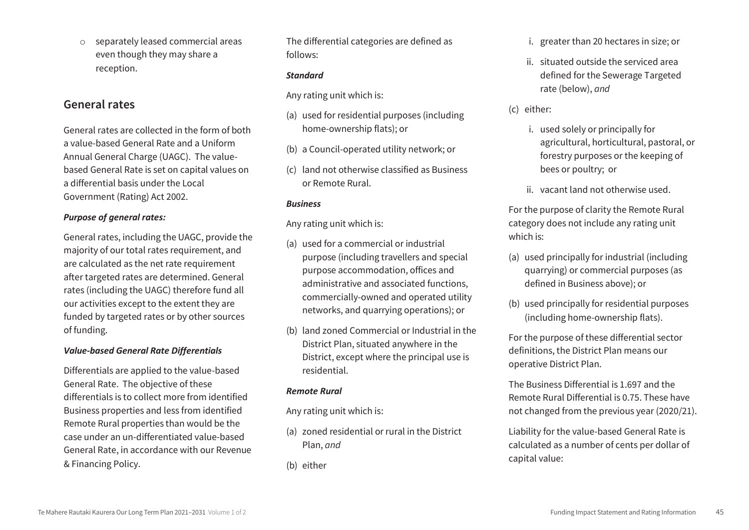o separately leased commercial areas even though they may share a reception.

#### **General rates**

General rates are collected in the form of both a value-based General Rate and a Uniform Annual General Charge (UAGC). The valuebased General Rate is set on capital values on a differential basis under the Local Government (Rating) Act 2002.

#### *Purpose of general rates:*

General rates, including the UAGC, provide the majority of our total rates requirement, and are calculated as the net rate requirement after targeted rates are determined. General rates (including the UAGC) therefore fund all our activities except to the extent they are funded by targeted rates or by other sources of funding.

#### *Value-based General Rate Differentials*

Differentials are applied to the value-based General Rate. The objective of these differentials is to collect more from identified Business properties and less from identified Remote Rural properties than would be the case under an un-differentiated value-based General Rate, in accordance with our Revenue & Financing Policy.

The differential categories are defined as follows:

#### *Standard*

Any rating unit which is:

- (a) used for residential purposes (including home-ownership flats); or
- (b) a Council-operated utility network; or
- (c) land not otherwise classified as Business or Remote Rural.

#### *Business*

Any rating unit which is:

- (a) used for a commercial or industrial purpose (including travellers and special purpose accommodation, offices and administrative and associated functions, commercially-owned and operated utility networks, and quarrying operations); or
- (b) land zoned Commercial or Industrial in the District Plan, situated anywhere in the District, except where the principal use is residential.

#### *Remote Rural*

Any rating unit which is:

(a) zoned residential or rural in the District Plan, *and*

(b) either

- i. greater than 20 hectares in size; or
- ii. situated outside the serviced area defined for the Sewerage Targeted rate (below), *and*
- (c) either:
	- i. used solely or principally for agricultural, horticultural, pastoral, or forestry purposes or the keeping of bees or poultry; or
	- ii. vacant land not otherwise used.

For the purpose of clarity the Remote Rural category does not include any rating unit which is:

- (a) used principally for industrial (including quarrying) or commercial purposes (as defined in Business above); or
- (b) used principally for residential purposes (including home-ownership flats).

For the purpose of these differential sector definitions, the District Plan means our operative District Plan.

The Business Differential is 1.697 and the Remote Rural Differential is 0.75. These have not changed from the previous year (2020/21).

Liability for the value-based General Rate is calculated as a number of cents per dollar of capital value: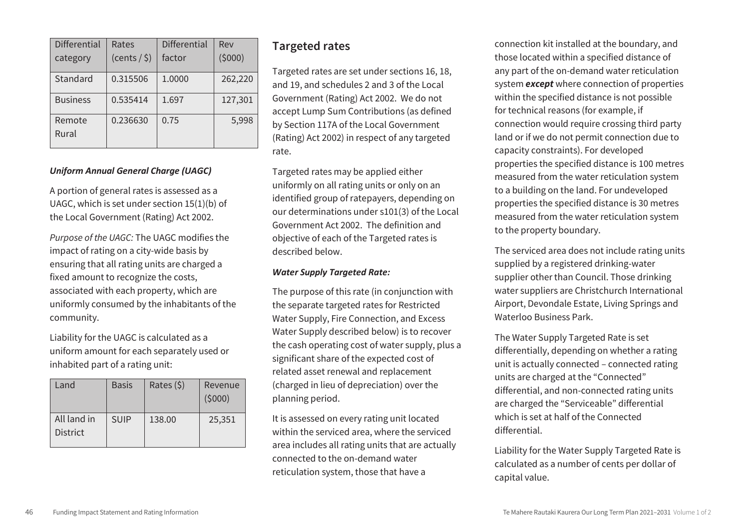| <b>Differential</b> | Rates           | <b>Differential</b> | Rev     |
|---------------------|-----------------|---------------------|---------|
| category            | $(cents / \xi)$ | factor              | (5000)  |
| Standard            | 0.315506        | 1.0000              | 262,220 |
| <b>Business</b>     | 0.535414        | 1.697               | 127,301 |
| Remote<br>Rural     | 0.236630        | 0.75                | 5,998   |

#### *Uniform Annual General Charge (UAGC)*

A portion of general rates is assessed as a UAGC, which is set under section 15(1)(b) of the Local Government (Rating) Act 2002.

*Purpose of the UAGC:* The UAGC modifies the impact of rating on a city-wide basis by ensuring that all rating units are charged a fixed amount to recognize the costs, associated with each property, which are uniformly consumed by the inhabitants of the community.

Liability for the UAGC is calculated as a uniform amount for each separately used or inhabited part of a rating unit:

| Land                           | <b>Basis</b> | Rates $(5)$ | Revenue<br>(5000) |
|--------------------------------|--------------|-------------|-------------------|
| All land in<br><b>District</b> | <b>SUIP</b>  | 138.00      | 25,351            |

#### **Targeted rates**

Targeted rates are set under sections 16, 18, and 19, and schedules 2 and 3 of the Local Government (Rating) Act 2002. We do not accept Lump Sum Contributions (as defined by Section 117A of the Local Government (Rating) Act 2002) in respect of any targeted rate.

Targeted rates may be applied either uniformly on all rating units or only on an identified group of ratepayers, depending on our determinations under s101(3) of the Local Government Act 2002. The definition and objective of each of the Targeted rates is described below.

#### *Water Supply Targeted Rate:*

The purpose of this rate (in conjunction with the separate targeted rates for Restricted Water Supply, Fire Connection, and Excess Water Supply described below) is to recover the cash operating cost of water supply, plus a significant share of the expected cost of related asset renewal and replacement (charged in lieu of depreciation) over the planning period.

It is assessed on every rating unit located within the serviced area, where the serviced area includes all rating units that are actually connected to the on-demand water reticulation system, those that have a

connection kit installed at the boundary, and those located within a specified distance of any part of the on-demand water reticulation system *except* where connection of properties within the specified distance is not possible for technical reasons (for example, if connection would require crossing third party land or if we do not permit connection due to capacity constraints). For developed properties the specified distance is 100 metres measured from the water reticulation system to a building on the land. For undeveloped properties the specified distance is 30 metres measured from the water reticulation system to the property boundary.

The serviced area does not include rating units supplied by a registered drinking-water supplier other than Council. Those drinking water suppliers are Christchurch International Airport, Devondale Estate, Living Springs and Waterloo Business Park.

The Water Supply Targeted Rate is set differentially, depending on whether a rating unit is actually connected – connected rating units are charged at the "Connected" differential, and non-connected rating units are charged the "Serviceable" differential which is set at half of the Connected differential.

Liability for the Water Supply Targeted Rate is calculated as a number of cents per dollar of capital value.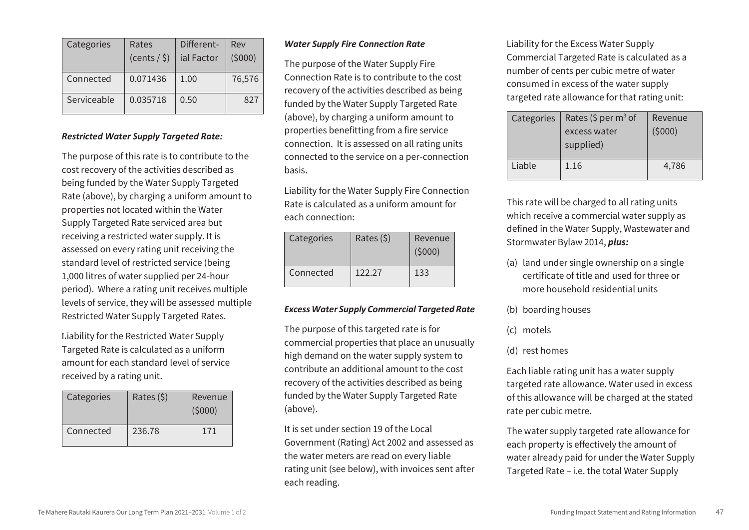| Categories  | Rates           | Different- | Rev    |
|-------------|-----------------|------------|--------|
|             | $(cents / \xi)$ | ial Factor | (5000) |
| Connected   | 0.071436        | 1.00       | 76,576 |
| Serviceable | 0.035718        | 0.50       | 827    |

#### *Restricted Water Supply Targeted Rate:*

The purpose of this rate is to contribute to the cost recovery of the activities described as being funded by the Water Supply Targeted Rate (above), by charging a uniform amount to properties not located within the Water Supply Targeted Rate serviced area but receiving a restricted water supply. It is assessed on every rating unit receiving the standard level of restricted service (being 1,000 litres of water supplied per 24-hour period). Where a rating unit receives multiple levels of service, they will be assessed multiple Restricted Water Supply Targeted Rates.

Liability for the Restricted Water Supply Targeted Rate is calculated as a uniform amount for each standard level of service received by a rating unit.

| Categories | Rates $(5)$ | Revenue<br>(5000) |
|------------|-------------|-------------------|
| Connected  | 236.78      | 171               |

#### *Water Supply Fire Connection Rate*

The purpose of the Water Supply Fire Connection Rate is to contribute to the cost recovery of the activities described as being funded by the Water Supply Targeted Rate (above), by charging a uniform amount to properties benefitting from a fire service connection. It is assessed on all rating units connected to the service on a per-connection basis.

Liability for the Water Supply Fire Connection Rate is calculated as a uniform amount for each connection:

| Categories | Rates $(5)$ | Revenue<br>(5000) |
|------------|-------------|-------------------|
| Connected  | 122.27      | 133               |

#### *Excess Water Supply Commercial Targeted Rate*

The purpose of this targeted rate is for commercial properties that place an unusually high demand on the water supply system to contribute an additional amount to the cost recovery of the activities described as being funded by the Water Supply Targeted Rate (above).

It is set under section 19 of the Local Government (Rating) Act 2002 and assessed as the water meters are read on every liable rating unit (see below), with invoices sent after each reading.

Liability for the Excess Water Supply Commercial Targeted Rate is calculated as a number of cents per cubic metre of water consumed in excess of the water supply targeted rate allowance for that rating unit:

| Categories | Rates (\$ per $m^3$ of<br>excess water<br>supplied) | Revenue<br>(5000) |
|------------|-----------------------------------------------------|-------------------|
| Liable     | 1.16                                                | 4,786             |

This rate will be charged to all rating units which receive a commercial water supply as defined in the Water Supply, Wastewater and Stormwater Bylaw 2014, *plus:*

- (a) land under single ownership on a single certificate of title and used for three or more household residential units
- (b) boarding houses
- (c) motels
- (d) rest homes

Each liable rating unit has a water supply targeted rate allowance. Water used in excess of this allowance will be charged at the stated rate per cubic metre.

The water supply targeted rate allowance for each property is effectively the amount of water already paid for under the Water Supply Targeted Rate – i.e. the total Water Supply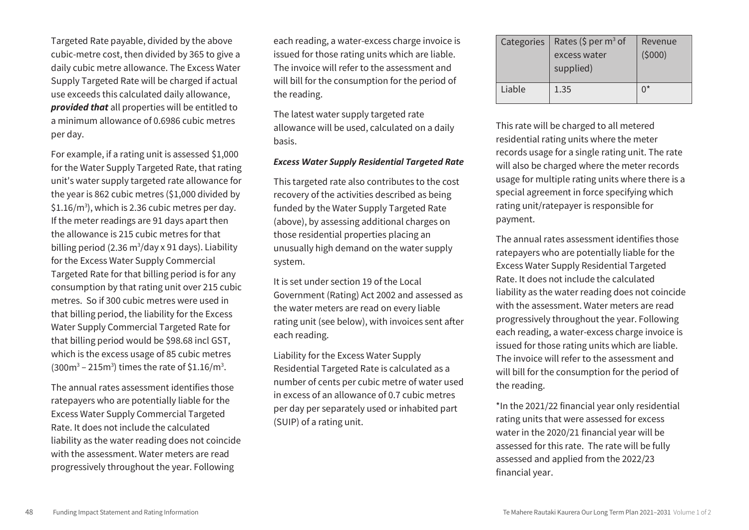Targeted Rate payable, divided by the above cubic-metre cost, then divided by 365 to give a daily cubic metre allowance. The Excess Water Supply Targeted Rate will be charged if actual use exceeds this calculated daily allowance, *provided that* all properties will be entitled to a minimum allowance of 0.6986 cubic metres per day.

For example, if a rating unit is assessed \$1,000 for the Water Supply Targeted Rate, that rating unit's water supply targeted rate allowance for the year is 862 cubic metres (\$1,000 divided by  $$1.16/m<sup>3</sup>$ , which is 2.36 cubic metres per day. If the meter readings are 91 days apart then the allowance is 215 cubic metres for that billing period (2.36 m<sup>3</sup>/day x 91 days). Liability for the Excess Water Supply Commercial Targeted Rate for that billing period is for any consumption by that rating unit over 215 cubic metres. So if 300 cubic metres were used in that billing period, the liability for the Excess Water Supply Commercial Targeted Rate for that billing period would be \$98.68 incl GST, which is the excess usage of 85 cubic metres  $(300 \text{m}^3 - 215 \text{m}^3)$  times the rate of \$1.16/m<sup>3</sup>.

The annual rates assessment identifies those ratepayers who are potentially liable for the Excess Water Supply Commercial Targeted Rate. It does not include the calculated liability as the water reading does not coincide with the assessment. Water meters are read progressively throughout the year. Following

each reading, a water-excess charge invoice is issued for those rating units which are liable. The invoice will refer to the assessment and will bill for the consumption for the period of the reading.

The latest water supply targeted rate allowance will be used, calculated on a daily basis.

#### *Excess Water Supply Residential Targeted Rate*

This targeted rate also contributes to the cost recovery of the activities described as being funded by the Water Supply Targeted Rate (above), by assessing additional charges on those residential properties placing an unusually high demand on the water supply system.

It is set under section 19 of the Local Government (Rating) Act 2002 and assessed as the water meters are read on every liable rating unit (see below), with invoices sent after each reading.

Liability for the Excess Water Supply Residential Targeted Rate is calculated as a number of cents per cubic metre of water used in excess of an allowance of 0.7 cubic metres per day per separately used or inhabited part (SUIP) of a rating unit.

| Categories | Rates (\$ per $m^3$ of<br>excess water<br>supplied) | Revenue<br>(5000) |
|------------|-----------------------------------------------------|-------------------|
| Liable     | 1.35                                                | n*                |

This rate will be charged to all metered residential rating units where the meter records usage for a single rating unit. The rate will also be charged where the meter records usage for multiple rating units where there is a special agreement in force specifying which rating unit/ratepayer is responsible for payment.

The annual rates assessment identifies those ratepayers who are potentially liable for the Excess Water Supply Residential Targeted Rate. It does not include the calculated liability as the water reading does not coincide with the assessment. Water meters are read progressively throughout the year. Following each reading, a water-excess charge invoice is issued for those rating units which are liable. The invoice will refer to the assessment and will bill for the consumption for the period of the reading.

\*In the 2021/22 financial year only residential rating units that were assessed for excess water in the 2020/21 financial year will be assessed for this rate. The rate will be fully assessed and applied from the 2022/23 financial year.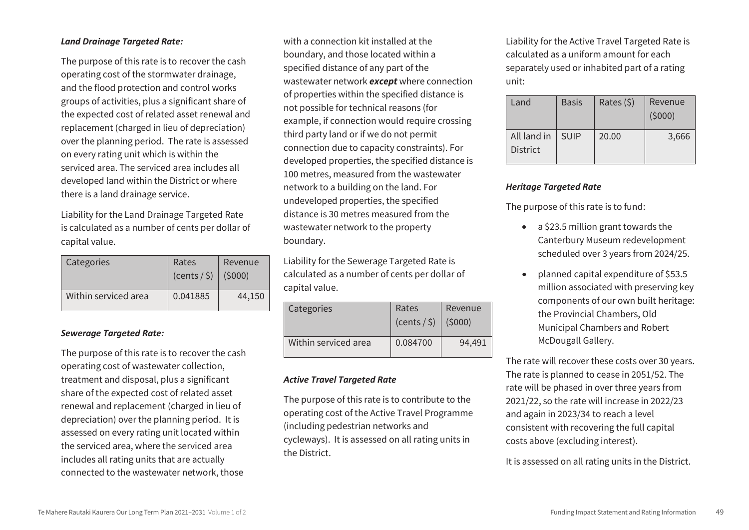#### *Land Drainage Targeted Rate:*

The purpose of this rate is to recover the cash operating cost of the stormwater drainage, and the flood protection and control works groups of activities, plus a significant share of the expected cost of related asset renewal and replacement (charged in lieu of depreciation) over the planning period. The rate is assessed on every rating unit which is within the serviced area. The serviced area includes all developed land within the District or where there is a land drainage service.

Liability for the Land Drainage Targeted Rate is calculated as a number of cents per dollar of capital value.

| Categories           | Rates<br>(cents / <i>§</i> ) | Revenue<br>(5000) |
|----------------------|------------------------------|-------------------|
| Within serviced area | 0.041885                     | 44,150            |

#### *Sewerage Targeted Rate:*

The purpose of this rate is to recover the cash operating cost of wastewater collection, treatment and disposal, plus a significant share of the expected cost of related asset renewal and replacement (charged in lieu of depreciation) over the planning period. It is assessed on every rating unit located within the serviced area, where the serviced area includes all rating units that are actually connected to the wastewater network, those

with a connection kit installed at the boundary, and those located within a specified distance of any part of the wastewater network *except* where connection of properties within the specified distance is not possible for technical reasons (for example, if connection would require crossing third party land or if we do not permit connection due to capacity constraints). For developed properties, the specified distance is 100 metres, measured from the wastewater network to a building on the land. For undeveloped properties, the specified distance is 30 metres measured from the wastewater network to the property boundary.

Liability for the Sewerage Targeted Rate is calculated as a number of cents per dollar of capital value.

| Categories           | Rates<br>$(cents / \xi)$ (\$000) | Revenue |
|----------------------|----------------------------------|---------|
| Within serviced area | 0.084700                         | 94.491  |

#### *Active Travel Targeted Rate*

The purpose of this rate is to contribute to the operating cost of the Active Travel Programme (including pedestrian networks and cycleways). It is assessed on all rating units in the District.

Liability for the Active Travel Targeted Rate is calculated as a uniform amount for each separately used or inhabited part of a rating unit:

| Land                           | <b>Basis</b> | Rates $(5)$ | Revenue<br>(5000) |
|--------------------------------|--------------|-------------|-------------------|
| All land in<br><b>District</b> | <b>SUIP</b>  | 20.00       | 3,666             |

#### *Heritage Targeted Rate*

The purpose of this rate is to fund:

- a \$23.5 million grant towards the Canterbury Museum redevelopment scheduled over 3 years from 2024/25.
- planned capital expenditure of \$53.5 million associated with preserving key components of our own built heritage: the Provincial Chambers, Old Municipal Chambers and Robert McDougall Gallery.

The rate will recover these costs over 30 years. The rate is planned to cease in 2051/52. The rate will be phased in over three years from 2021/22, so the rate will increase in 2022/23 and again in 2023/34 to reach a level consistent with recovering the full capital costs above (excluding interest).

It is assessed on all rating units in the District.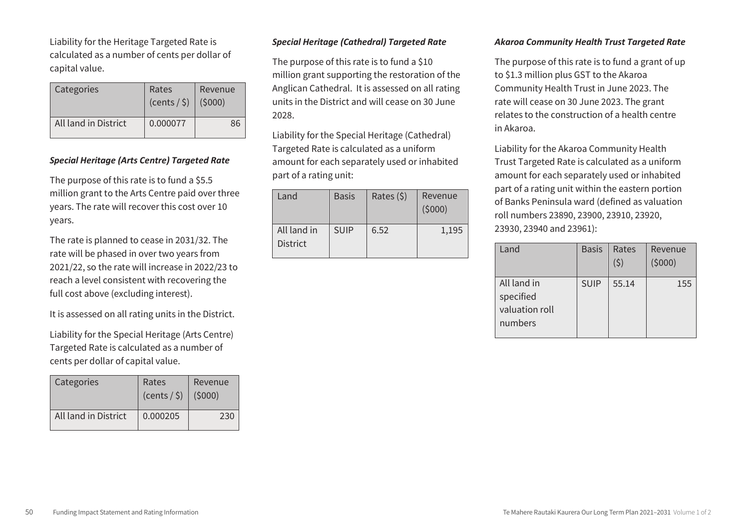Liability for the Heritage Targeted Rate is calculated as a number of cents per dollar of capital value.

| Categories           | Rates<br>$(cents / \xi)$ | Revenue<br>(5000) |  |  |
|----------------------|--------------------------|-------------------|--|--|
| All land in District | 0.000077                 | 86                |  |  |

#### *Special Heritage (Arts Centre) Targeted Rate*

The purpose of this rate is to fund a \$5.5 million grant to the Arts Centre paid over three years. The rate will recover this cost over 10 years.

The rate is planned to cease in 2031/32. The rate will be phased in over two years from 2021/22, so the rate will increase in 2022/23 to reach a level consistent with recovering the full cost above (excluding interest).

It is assessed on all rating units in the District.

Liability for the Special Heritage (Arts Centre) Targeted Rate is calculated as a number of cents per dollar of capital value.

| Categories           | Rates<br>(cents / <i>§</i> ) | Revenue<br>(5000) |
|----------------------|------------------------------|-------------------|
| All land in District | 0.000205                     | 230               |

#### *Special Heritage (Cathedral) Targeted Rate*

The purpose of this rate is to fund a \$10 million grant supporting the restoration of the Anglican Cathedral. It is assessed on all rating units in the District and will cease on 30 June 2028.

Liability for the Special Heritage (Cathedral) Targeted Rate is calculated as a uniform amount for each separately used or inhabited part of a rating unit:

| Land                           | <b>Basis</b> | Rates (\$) | Revenue<br>(5000) |
|--------------------------------|--------------|------------|-------------------|
| All land in<br><b>District</b> | <b>SUIP</b>  | 6.52       | 1,195             |

#### *Akaroa Community Health Trust Targeted Rate*

The purpose of this rate is to fund a grant of up to \$1.3 million plus GST to the Akaroa Community Health Trust in June 2023. The rate will cease on 30 June 2023. The grant relates to the construction of a health centre in Akaroa.

Liability for the Akaroa Community Health Trust Targeted Rate is calculated as a uniform amount for each separately used or inhabited part of a rating unit within the eastern portion of Banks Peninsula ward (defined as valuation roll numbers 23890, 23900, 23910, 23920, 23930, 23940 and 23961):

| Land                                                  | <b>Basis</b> | Rates | Revenue<br>(5000) |
|-------------------------------------------------------|--------------|-------|-------------------|
| All land in<br>specified<br>valuation roll<br>numbers | <b>SUIP</b>  | 55.14 | 155               |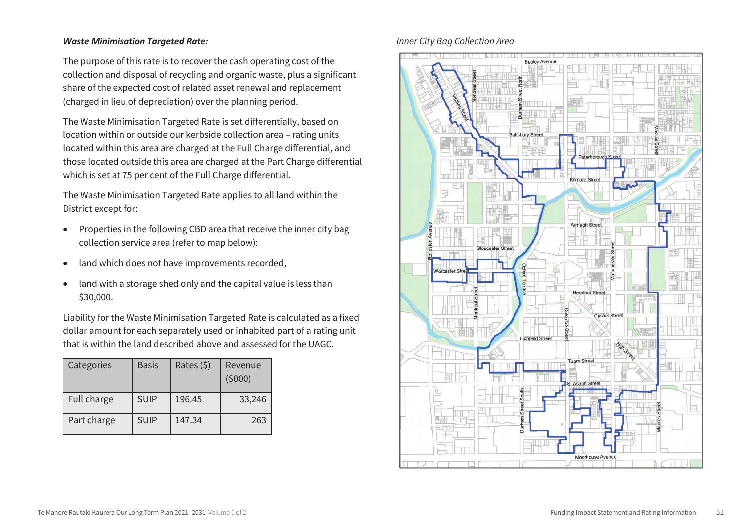#### *Waste Minimisation Targeted Rate:*

The purpose of this rate is to recover the cash operating cost of the collection and disposal of recycling and organic waste, plus a significant share of the expected cost of related asset renewal and replacement (charged in lieu of depreciation) over the planning period.

The Waste Minimisation Targeted Rate is set differentially, based on location within or outside our kerbside collection area – rating units located within this area are charged at the Full Charge differential, and those located outside this area are charged at the Part Charge differential which is set at 75 per cent of the Full Charge differential.

The Waste Minimisation Targeted Rate applies to all land within the<br>District except for:

- ישוstrict except for:<br>● Properties in the following CBD area that receive the inner city bag collection service area (refer to map below):
- **land which does not have improvements recorded,**
- land with a storage shed only and the capital value is less than \$30,000.  $\frac{1}{2}$  storage shed only and the capital value is less than the capital value is less than the capital value is less than the capital value is less than the capital value is less than the capital value is less than the

Liability for the Waste Minimisation Targeted Rate is calculated as a fixed dollar amount for each separately used or inhabited part of a rating unit that is within the land described above and assessed for the UAGC.

| Categories  | <b>Basis</b> | Rates (\$) | Revenue<br>(5000) |
|-------------|--------------|------------|-------------------|
| Full charge | <b>SUIP</b>  | 196.45     | 33,246            |
| Part charge | <b>SUIP</b>  | 147.34     | 263               |

#### *Inner City Bag Collection Area*

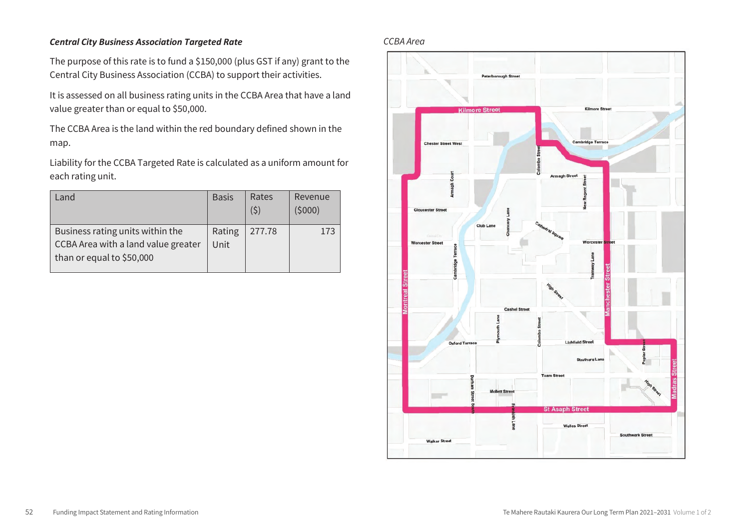#### *Central City Business Association Targeted Rate*

The purpose of this rate is to fund a \$150,000 (plus GST if any) grant to the Central City Business Association (CCBA) to support their activities.

It is assessed on all business rating units in the CCBA Area that have a land value greater than or equal to \$50,000.

The CCBA Area is the land within the red boundary defined shown in the map.

Liability for the CCBA Targeted Rate is calculated as a uniform amount for each rating unit.

| Land                                                                    | <b>Basis</b>   | Rates<br>(5) | Revenue<br>(5000) |
|-------------------------------------------------------------------------|----------------|--------------|-------------------|
| Business rating units within the<br>CCBA Area with a land value greater | Rating<br>Unit | 277.78       | 173               |
| than or equal to \$50,000                                               |                |              |                   |

#### *CCBA Area*

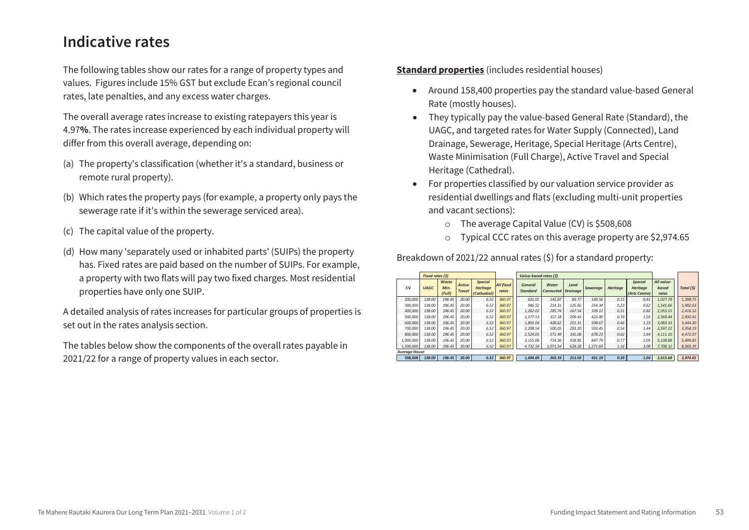### **Indicative rates**

The following tables show our rates for a range of property types and values. Figures include 15% GST but exclude Ecan's regional council rates, late penalties, and any excess water charges.

The overall average rates increase to existing ratepayers this year is 4.97**%**. The rates increase experienced by each individual property will differ from this overall average, depending on:

- (a) The property's classification (whether it's a standard, business or remote rural property).
- (b) Which rates the property pays (for example, a property only pays the sewerage rate if it's within the sewerage serviced area).
- (c) The capital value of the property.
- (d) How many 'separately used or inhabited parts' (SUIPs) the property has. Fixed rates are paid based on the number of SUIPs. For example, a property with two flats will pay two fixed charges. Most residential properties have only one SUIP.

A detailed analysis of rates increases for particular groups of properties is set out in the rates analysis section.

The tables below show the components of the overall rates payable in 2021/22 for a range of property values in each sector.

**Standard properties** (includes residential houses)

- Around 158,400 properties pay the standard value-based General Rate (mostly houses).
- They typically pay the value-based General Rate (Standard), the UAGC, and targeted rates for Water Supply (Connected), Land Drainage, Sewerage, Heritage, Special Heritage (Arts Centre), Waste Minimisation (Full Charge), Active Travel and Special Heritage (Cathedral).
- For properties classified by our valuation service provider as residential dwellings and flats (excluding multi-unit properties and vacant sections):
	- o The average Capital Value (CV) is \$508,608
	- o Typical CCC rates on this average property are \$2,974.65

|                      | <b>Fixed rates (S)</b> |                         |                                |                                                  |                           | Value-based rates (\$)            |                           |                         |          |                 |                                                    |                              |            |
|----------------------|------------------------|-------------------------|--------------------------------|--------------------------------------------------|---------------------------|-----------------------------------|---------------------------|-------------------------|----------|-----------------|----------------------------------------------------|------------------------------|------------|
| CV                   | <b>UAGC</b>            | Waste<br>Min.<br>(Full) | <b>Active</b><br><b>Travel</b> | <b>Special</b><br><b>Heritage</b><br>(Cathedral) | <b>All fixed</b><br>rates | <b>General</b><br><b>Standard</b> | Water<br><b>Connected</b> | Land<br><b>Drainage</b> | Sewerage | <b>Heritage</b> | <b>Special</b><br><b>Heritage</b><br>(Arts Centre) | All value-<br>based<br>rates | Total (\$) |
| 200,000              | 138.00                 | 196.45                  | 20.00                          | 6.52                                             | 360.97                    | 631.01                            | 142.87                    | 83.77                   | 169.56   | 0.15            | 0.41                                               | 1.027.78                     | 1,388.75   |
| 300,000              | 138.00                 | 196.45                  | 20.00                          | 6.52                                             | 360.97                    | 946.52                            | 214.31                    | 125.66                  | 254.34   | 0.23            | 0.62                                               | 1.541.66                     | 1.902.63   |
| 400,000              | 138.00                 | 196.45                  | 20.00                          | 6.52                                             | 360.97                    | 1.262.02                          | 285.74                    | 167.54                  | 339.12   | 0.31            | 0.82                                               | 2.055.55                     | 2.416.52   |
| 500,000              | 138.00                 | 196.45                  | 20.00                          | 6.52                                             | 360.97                    | 1.577.53                          | 357.18                    | 209.43                  | 423.90   | 0.39            | 1.03                                               | 2.569.44                     | 2.930.41   |
| 600,000              | 138.00                 | 196.45                  | 20.00                          | 6.52                                             | 360.97                    | 1.893.04                          | 428.62                    | 251.31                  | 508.67   | 0.46            | 1.23                                               | 3.083.33                     | 3.444.30   |
| 700,000              | 138.00                 | 196.45                  | 20.00                          | 6.52                                             | 360.97                    | 2.208.54                          | 500.05                    | 293.20                  | 593.45   | 0.54            | 1.44                                               | 3.597.22                     | 3,958.19   |
| 800,000              | 138.00                 | 196.45                  | 20.00                          | 6.52                                             | 360.97                    | 2.524.05                          | 571.49                    | 335.08                  | 678.23   | 0.62            | 1.64                                               | 4.111.10                     | 4.472.07   |
| 1,000,000            | 138.00                 | 196.45                  | 20.00                          | 6.52                                             | 360.97                    | 3.155.06                          | 714.36                    | 418.85                  | 847.79   | 0.77            | 2.05                                               | 5.138.88                     | 5,499.85   |
| 1,500,000            | 138.00                 | 196.45                  | 20.00                          | 6.52                                             | 360.97                    | 4,732.59                          | 1.071.54                  | 628.28                  | 1,271.69 | 1.16            | 3.08                                               | 7,708.32                     | 8,069.29   |
| <b>Average House</b> |                        |                         |                                |                                                  |                           |                                   |                           |                         |          |                 |                                                    |                              |            |
| 508.608              | 138.00                 | 196.45                  | 20.00                          | 6.52                                             | 360.97                    | 1.604.69                          | 363.33                    | 213.03                  | 431.19   | 0.39            | 1.04                                               | 2,613.68                     | 2,974.65   |

Breakdown of 2021/22 annual rates (\$) for a standard property: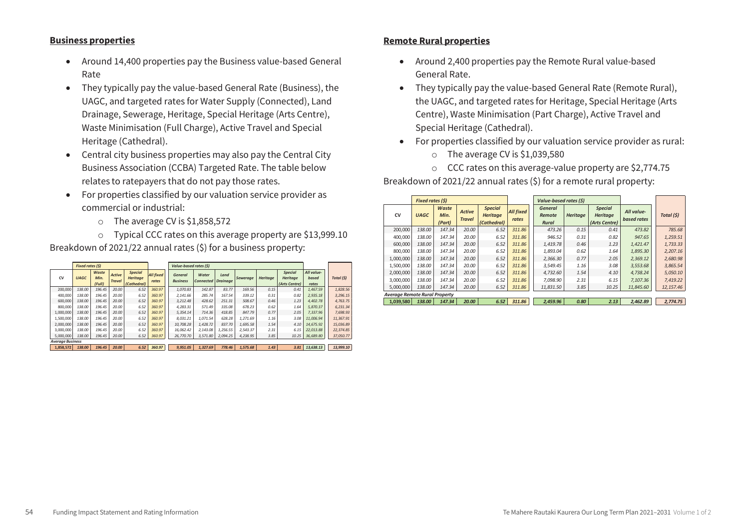#### **Business properties**

- Around 14,400 properties pay the Business value-based General Rate
- They typically pay the value-based General Rate (Business), the UAGC, and targeted rates for Water Supply (Connected), Land Drainage, Sewerage, Heritage, Special Heritage (Arts Centre), Waste Minimisation (Full Charge), Active Travel and Special Heritage (Cathedral).
- Central city business properties may also pay the Central City Business Association (CCBA) Targeted Rate. The table below relates to ratepayers that do not pay those rates.
- For properties classified by our valuation service provider as commercial or industrial:
	- o The average CV is \$1,858,572

o Typical CCC rates on this average property are \$13,999.10 Breakdown of 2021/22 annual rates (\$) for a business property:

|                         | <b>Fixed rates (S)</b> |                         |                                |                                                  |                           | Value-based rates (\$)            |                                    |          |                 |                 |                                                    |                              |            |
|-------------------------|------------------------|-------------------------|--------------------------------|--------------------------------------------------|---------------------------|-----------------------------------|------------------------------------|----------|-----------------|-----------------|----------------------------------------------------|------------------------------|------------|
| CV                      | <b>UAGC</b>            | Waste<br>Min.<br>(Full) | <b>Active</b><br><b>Travel</b> | <b>Special</b><br><b>Heritage</b><br>(Cathedral) | <b>All fixed</b><br>rates | <b>General</b><br><b>Business</b> | Water<br><b>Connected Draingge</b> | Land     | <b>Sewerage</b> | <b>Heritage</b> | <b>Special</b><br><b>Heritage</b><br>(Arts Centre) | All value-<br>based<br>rates | Total (\$) |
| 200,000                 | 138.00                 | 196.45                  | 20.00                          | 6.52                                             | 360.97                    | 1.070.83                          | 142.87                             | 83.77    | 169.56          | 0.15            | 0.41                                               | 1.467.59                     | 1,828.56   |
| 400,000                 | 138.00                 | 196.45                  | 20.00                          | 6.52                                             | 360.97                    | 2.141.66                          | 285.74                             | 167.54   | 339.12          | 0.31            | 0.82                                               | 2.935.18                     | 3,296.15   |
| 600,000                 | 138.00                 | 196.45                  | 20.00                          | 6.52                                             | 360.97                    | 3.212.48                          | 428.62                             | 251.31   | 508.67          | 0.46            | 1.23                                               | 4.402.78                     | 4,763.75   |
| 800,000                 | 138.00                 | 196.45                  | 20.00                          | 6.52                                             | 360.97                    | 4.283.31                          | 571.49                             | 335.08   | 678.23          | 0.62            | 1.64                                               | 5.870.37                     | 6,231.34   |
| 1.000.000               | 138.00                 | 196.45                  | 20.00                          | 6.52                                             | 360.97                    | 5.354.14                          | 714.36                             | 418.85   | 847.79          | 0.77            | 2.05                                               | 7.337.96                     | 7.698.93   |
| 1,500,000               | 138.00                 | 196.45                  | 20.00                          | 6.52                                             | 360.97                    | 8.031.21                          | 1.071.54                           | 628.28   | 1.271.69        | 1.16            | 3.08                                               | 11.006.94                    | 11.367.91  |
| 2.000.000               | 138.00                 | 196.45                  | 20.00                          | 6.52                                             | 360.97                    | 10,708.28                         | 1.428.72                           | 837.70   | 1,695.58        | 1.54            | 4.10                                               | 14.675.92                    | 15.036.89  |
| 3,000,000               | 138.00                 | 196.45                  | 20.00                          | 6.52                                             | 360.97                    | 16.062.42                         | 2.143.08                           | 1.256.55 | 2.543.37        | 2.31            | 6.15                                               | 22.013.88                    | 22.374.85  |
| 5.000.000               | 138.00                 | 196.45                  | 20.00                          | 6.52                                             | 360.97                    | 26,770,70                         | 3.571.80                           | 2.094.25 | 4.238.95        | 3.85            | 10.25                                              | 36.689.80                    | 37.050.77  |
| <b>Average Business</b> |                        |                         |                                |                                                  |                           |                                   |                                    |          |                 |                 |                                                    |                              |            |
| 1.858.572               | 138.00                 | 196.45                  | 20.00                          | 6.52                                             | 360.97                    | 9.951.05                          | 1.327.69                           | 778.46   | 1.575.68        | 1.43            | 3.81                                               | 13.638.13                    | 13.999.10  |

#### **Remote Rural properties**

- Around 2,400 properties pay the Remote Rural value-based General Rate.
- They typically pay the value-based General Rate (Remote Rural), the UAGC, and targeted rates for Heritage, Special Heritage (Arts Centre), Waste Minimisation (Part Charge), Active Travel and Special Heritage (Cathedral).
- For properties classified by our valuation service provider as rural:
	- o The average CV is \$1,039,580
	- o CCC rates on this average-value property are \$2,774.75

Breakdown of 2021/22 annual rates (\$) for a remote rural property:

|                                      | <b>Fixed rates (\$)</b> |                         |                                |                                                  |                           | Value-based rates (\$)                   |                 |                                                    |                           |            |
|--------------------------------------|-------------------------|-------------------------|--------------------------------|--------------------------------------------------|---------------------------|------------------------------------------|-----------------|----------------------------------------------------|---------------------------|------------|
| <b>CV</b>                            | <b>UAGC</b>             | Waste<br>Min.<br>(Part) | <b>Active</b><br><b>Travel</b> | <b>Special</b><br><b>Heritage</b><br>(Cathedral) | <b>All fixed</b><br>rates | <b>General</b><br><b>Remote</b><br>Rural | <b>Heritage</b> | <b>Special</b><br><b>Heritage</b><br>(Arts Centre) | All value-<br>based rates | Total (\$) |
| 200,000                              | 138.00                  | 147.34                  | 20.00                          | 6.52                                             | 311.86                    | 473.26                                   | 0.15            | 0.41                                               | 473.82                    | 785.68     |
| 400.000                              | 138.00                  | 147.34                  | 20.00                          | 6.52                                             | 311.86                    | 946.52                                   | 0.31            | 0.82                                               | 947.65                    | 1.259.51   |
| 600,000                              | 138.00                  | 147.34                  | 20.00                          | 6.52                                             | 311.86                    | 1.419.78                                 | 0.46            | 1.23                                               | 1,421.47                  | 1.733.33   |
| 800,000                              | 138.00                  | 147.34                  | 20.00                          | 6.52                                             | 311.86                    | 1.893.04                                 | 0.62            | 1.64                                               | 1,895.30                  | 2.207.16   |
| 1.000.000                            | 138.00                  | 147.34                  | 20.00                          | 6.52                                             | 311.86                    | 2.366.30                                 | 0.77            | 2.05                                               | 2,369.12                  | 2,680.98   |
| 1,500,000                            | 138.00                  | 147.34                  | 20.00                          | 6.52                                             | 311.86                    | 3.549.45                                 | 1.16            | 3.08                                               | 3,553.68                  | 3,865.54   |
| 2.000.000                            | 138.00                  | 147.34                  | 20.00                          | 6.52                                             | 311.86                    | 4.732.60                                 | 1.54            | 4.10                                               | 4.738.24                  | 5.050.10   |
| 3.000.000                            | 138.00                  | 147.34                  | 20.00                          | 6.52                                             | 311.86                    | 7.098.90                                 | 2.31            | 6.15                                               | 7.107.36                  | 7.419.22   |
| 5.000.000                            | 138.00                  | 147.34                  | 20.00                          | 6.52                                             | 311.86                    | 11,831.50                                | 3.85            | 10.25                                              | 11,845.60                 | 12, 157.46 |
| <b>Average Remote Rural Property</b> |                         |                         |                                |                                                  |                           |                                          |                 |                                                    |                           |            |
| 1.039.580                            | 138.00                  | 147.34                  | 20.00                          | 6.52                                             | 311.86                    | 2.459.96                                 | 0.80            | 2.13                                               | 2.462.89                  | 2.774.75   |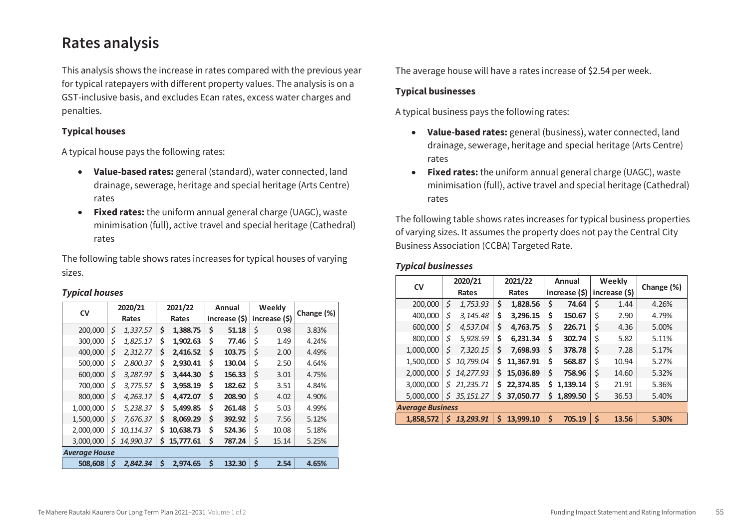### **Rates analysis**

This analysis shows the increase in rates compared with the previous year for typical ratepayers with different property values. The analysis is on a GST-inclusive basis, and excludes Ecan rates, excess water charges and penalties.

#### **Typical houses**

A typical house pays the following rates:

- **Value-based rates:** general (standard), water connected, land drainage, sewerage, heritage and special heritage (Arts Centre) rates
- **Fixed rates:** the uniform annual general charge (UAGC), waste minimisation (full), active travel and special heritage (Cathedral) rates

The following table shows rates increases for typical houses of varying sizes.

#### *Typical houses*

| <b>CV</b>            | 2020/21 |           | 2021/22 |           | Annual        |        | Weekly        |       | Change (%) |
|----------------------|---------|-----------|---------|-----------|---------------|--------|---------------|-------|------------|
|                      | Rates   |           | Rates   |           | increase (\$) |        | increase (\$) |       |            |
| 200,000              | \$      | 1,337.57  | \$      | 1,388.75  | \$            | 51.18  | \$            | 0.98  | 3.83%      |
| 300,000              | \$      | 1,825.17  | \$      | 1,902.63  | \$            | 77.46  | \$            | 1.49  | 4.24%      |
| 400,000              | \$      | 2,312.77  | \$      | 2,416.52  | \$            | 103.75 | \$            | 2.00  | 4.49%      |
| 500,000              | \$      | 2,800.37  | \$      | 2,930.41  | \$            | 130.04 | \$            | 2.50  | 4.64%      |
| 600,000              | \$      | 3,287.97  | \$      | 3.444.30  | \$            | 156.33 | \$            | 3.01  | 4.75%      |
| 700,000              | \$      | 3,775.57  | \$      | 3,958.19  | \$            | 182.62 | \$            | 3.51  | 4.84%      |
| 800,000              | \$      | 4,263.17  | \$      | 4,472.07  | \$            | 208.90 | \$            | 4.02  | 4.90%      |
| 1,000,000            | \$      | 5,238.37  | Ś       | 5,499.85  | \$            | 261.48 | \$            | 5.03  | 4.99%      |
| 1,500,000            | \$      | 7,676.37  | Ś       | 8,069.29  | \$            | 392.92 | \$            | 7.56  | 5.12%      |
| 2,000,000            | \$      | 10,114.37 | Ś       | 10,638.73 | \$            | 524.36 | \$            | 10.08 | 5.18%      |
| 3.000.000            | Ś       | 14,990.37 | Ś       | 15,777.61 | \$            | 787.24 | \$            | 15.14 | 5.25%      |
| <b>Average House</b> |         |           |         |           |               |        |               |       |            |
| 508.608              | \$      | 2.842.34  | \$      | 2,974.65  | \$            | 132.30 | \$            | 2.54  | 4.65%      |

The average house will have a rates increase of \$2.54 per week.

#### **Typical businesses**

A typical business pays the following rates:

- **Value-based rates:** general (business), water connected, land drainage, sewerage, heritage and special heritage (Arts Centre) rates
- **Fixed rates:** the uniform annual general charge (UAGC), waste minimisation (full), active travel and special heritage (Cathedral) rates

The following table shows rates increases for typical business properties of varying sizes. It assumes the property does not pay the Central City Business Association (CCBA) Targeted Rate.

#### *Typical businesses*

|           | 2020/21                 |            | 2021/22 |           | Annual        |          | Weekly        |       | Change (%) |  |
|-----------|-------------------------|------------|---------|-----------|---------------|----------|---------------|-------|------------|--|
| <b>CV</b> | Rates                   |            | Rates   |           | increase (\$) |          | increase (\$) |       |            |  |
| 200,000   | \$                      | 1,753.93   | \$      | 1,828.56  | \$            | 74.64    | \$            | 1.44  | 4.26%      |  |
| 400,000   | \$                      | 3,145.48   | \$      | 3,296.15  | \$            | 150.67   | \$            | 2.90  | 4.79%      |  |
| 600,000   | \$                      | 4,537.04   | \$      | 4,763.75  | \$            | 226.71   | \$            | 4.36  | 5.00%      |  |
| 800,000   | Ś                       | 5,928.59   | \$      | 6,231.34  | \$            | 302.74   | \$            | 5.82  | 5.11%      |  |
| 1,000,000 | \$                      | 7,320.15   | Ś       | 7,698.93  | \$            | 378.78   | \$            | 7.28  | 5.17%      |  |
| 1,500,000 | \$                      | 10,799.04  | Ś       | 11,367.91 | \$            | 568.87   | \$            | 10.94 | 5.27%      |  |
| 2,000,000 | \$                      | 14,277.93  | Ś       | 15,036.89 | \$            | 758.96   | \$            | 14.60 | 5.32%      |  |
| 3,000,000 | \$                      | 21,235.71  | Ś       | 22,374.85 | Ś             | 1,139.14 | \$            | 21.91 | 5.36%      |  |
| 5,000,000 | Ś                       | 35, 151.27 | \$      | 37,050.77 | Ś             | 1,899.50 | \$            | 36.53 | 5.40%      |  |
|           | <b>Average Business</b> |            |         |           |               |          |               |       |            |  |
| 1,858,572 | S                       | 13,293.91  | \$      | 13.999.10 | \$            | 705.19   | \$            | 13.56 | 5.30%      |  |